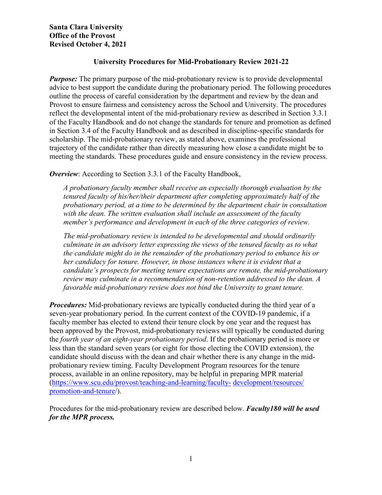## **University Procedures for Mid-Probationary Review [2](#page-0-0)021-22**

*Purpose:* The primary purpose of the mid-probationary review is to provide developmental advice to best support the candidate during the probationary period. The following procedures outline the process of careful consideration by the department and review by the dean and Provost to ensure fairness and consistency across the School and University. The procedures reflect the developmental intent of the mid-probationary review as described in Section 3.3.1 of the Faculty Handbook and do not change the standards for tenure and promotion as defined in Section 3.4 of the Faculty Handbook and as described in discipline-specific standards for scholarship. The mid-probationary review, as stated above, examines the professional trajectory of the candidate rather than directly measuring how close a candidate might be to meeting the standards. These procedures guide and ensure consistency in the review process.

**Overview:** According to Section 3.3.1 of the Faculty Handbook,

*A probationary faculty member shall receive an especially thorough evaluation by the tenured faculty of his/her/their department after completing approximately half of the probationary period, at a time to be determined by the department chair in consultation with the dean. The written evaluation shall include an assessment of the faculty member's performance and development in each of the three categories of review.*

*The mid-probationary review is intended to be developmental and should ordinarily culminate in an advisory letter expressing the views of the tenured faculty as to what the candidate might do in the remainder of the probationary period to enhance his or her candidacy for tenure. However, in those instances where it is evident that a candidate's prospects for meeting tenure expectations are remote, the mid-probationary review may culminate in a recommendation of non-retention addressed to the dean. A favorable mid-probationary review does not bind the University to grant tenure.*

*Procedures:* Mid-probationary reviews are typically conducted during the third year of a seven-year probationary period. In the current context of the COVID-19 pandemic, if a faculty member has elected to extend their tenure clock by one year and the request has been approved by the Provost, mid-probationary reviews will typically be conducted during the *fourth year of an eight-year probationary period*. If the probationary period is more or less than the standard seven years (or eight for those electing the COVID extension), the candidate should discuss with the dean and chair whether there is any change in the midprobationary review timing. Faculty Development Program resources for the tenure process, available in an online repository, may be helpful in preparing MPR material [\(https://www.scu.edu/provost/teaching-and-learning/faculty-](https://www.scu.edu/provost/teaching-and-learning/faculty-development/resources/promotion-and-tenure/) [development/resources/](https://www.scu.edu/provost/teaching-and-learning/faculty-development/resources/promotion-and-tenure/) [promotion-and-tenure/](https://www.scu.edu/provost/teaching-and-learning/faculty-development/resources/promotion-and-tenure/)).

<span id="page-0-0"></span>Procedures for the mid-probationary review are described below. *Faculty180 will be used for the MPR process.*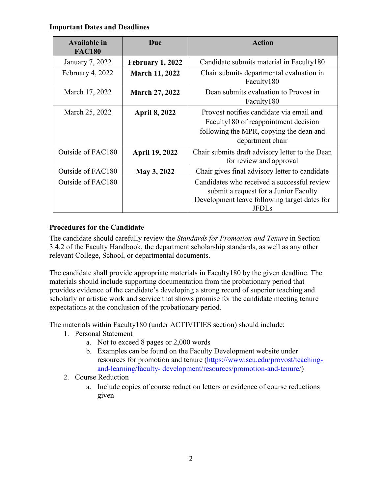### **Important Dates and Deadlines**

| <b>Available in</b><br><b>FAC180</b> | Due                     | <b>Action</b>                                                                                                                                   |
|--------------------------------------|-------------------------|-------------------------------------------------------------------------------------------------------------------------------------------------|
| January 7, 2022                      | <b>February 1, 2022</b> | Candidate submits material in Faculty180                                                                                                        |
| February 4, 2022                     | <b>March 11, 2022</b>   | Chair submits departmental evaluation in<br>Faculty180                                                                                          |
| March 17, 2022                       | <b>March 27, 2022</b>   | Dean submits evaluation to Provost in<br>Faculty180                                                                                             |
| March 25, 2022                       | <b>April 8, 2022</b>    | Provost notifies candidate via email and<br>Faculty180 of reappointment decision<br>following the MPR, copying the dean and<br>department chair |
| Outside of FAC180                    | <b>April 19, 2022</b>   | Chair submits draft advisory letter to the Dean<br>for review and approval                                                                      |
| Outside of FAC180                    | May 3, 2022             | Chair gives final advisory letter to candidate                                                                                                  |
| Outside of FAC180                    |                         | Candidates who received a successful review<br>submit a request for a Junior Faculty<br>Development leave following target dates for<br>JFDI s  |

# **Procedures for the Candidate**

The candidate should carefully review the *Standards for Promotion and Tenure* in Section 3.4.2 of the Faculty Handbook, the department scholarship standards, as well as any other relevant College, School, or departmental documents.

The candidate shall provide appropriate materials in Faculty180 by the given deadline. The materials should include supporting documentation from the probationary period that provides evidence of the candidate's developing a strong record of superior teaching and scholarly or artistic work and service that shows promise for the candidate meeting tenure expectations at the conclusion of the probationary period.

The materials within Faculty180 (under ACTIVITIES section) should include:

- 1. Personal Statement
	- a. Not to exceed 8 pages or 2,000 words
	- b. Examples can be found on the Faculty Development website under resources for promotion and tenure [\(https://www.scu.edu/provost/teaching](https://www.scu.edu/provost/teaching-and-learning/faculty-development/resources/promotion-and-tenure/)and-learning/faculty- [development/resources/promotion-and-tenure/\)](https://www.scu.edu/provost/teaching-and-learning/faculty-development/resources/promotion-and-tenure/)
- 2. Course Reduction
	- a. Include copies of course reduction letters or evidence of course reductions given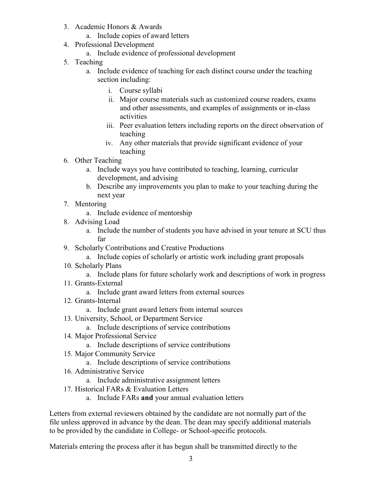- 3. Academic Honors & Awards
	- a. Include copies of award letters
- 4. Professional Development
	- a. Include evidence of professional development
- 5. Teaching
	- a. Include evidence of teaching for each distinct course under the teaching section including:
		- i. Course syllabi
		- ii. Major course materials such as customized course readers, exams and other assessments, and examples of assignments or in-class activities
		- iii. Peer evaluation letters including reports on the direct observation of teaching
		- iv. Any other materials that provide significant evidence of your teaching
- 6. Other Teaching
	- a. Include ways you have contributed to teaching, learning, curricular development, and advising
	- b. Describe any improvements you plan to make to your teaching during the next year
- 7. Mentoring
	- a. Include evidence of mentorship
- 8. Advising Load
	- a. Include the number of students you have advised in your tenure at SCU thus far
- 9. Scholarly Contributions and Creative Productions
	- a. Include copies of scholarly or artistic work including grant proposals
- 10. Scholarly Plans
	- a. Include plans for future scholarly work and descriptions of work in progress
- 11. Grants-External
	- a. Include grant award letters from external sources
- 12. Grants-Internal
	- a. Include grant award letters from internal sources
- 13. University, School, or Department Service
	- a. Include descriptions of service contributions
- 14. Major Professional Service
	- a. Include descriptions of service contributions
- 15. Major Community Service
	- a. Include descriptions of service contributions
- 16. Administrative Service
	- a. Include administrative assignment letters
- 17. Historical FARs & Evaluation Letters
	- a. Include FARs **and** your annual evaluation letters

Letters from external reviewers obtained by the candidate are not normally part of the file unless approved in advance by the dean. The dean may specify additional materials to be provided by the candidate in College- or School-specific protocols.

Materials entering the process after it has begun shall be transmitted directly to the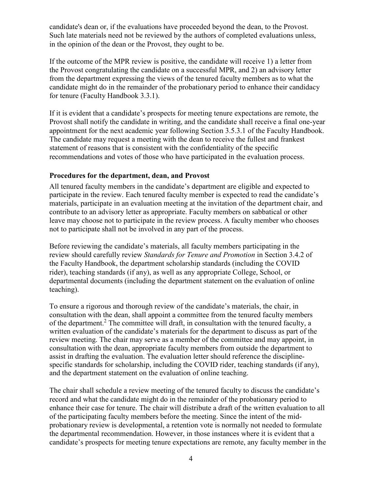candidate's dean or, if the evaluations have proceeded beyond the dean, to the Provost. Such late materials need not be reviewed by the authors of completed evaluations unless, in the opinion of the dean or the Provost, they ought to be.

If the outcome of the MPR review is positive, the candidate will receive 1) a letter from the Provost congratulating the candidate on a successful MPR, and 2) an advisory letter from the department expressing the views of the tenured faculty members as to what the candidate might do in the remainder of the probationary period to enhance their candidacy for tenure (Faculty Handbook 3.3.1).

If it is evident that a candidate's prospects for meeting tenure expectations are remote, the Provost shall notify the candidate in writing, and the candidate shall receive a final one-year appointment for the next academic year following Section 3.5.3.1 of the Faculty Handbook. The candidate may request a meeting with the dean to receive the fullest and frankest statement of reasons that is consistent with the confidentiality of the specific recommendations and votes of those who have participated in the evaluation process.

#### **Procedures for the department, dean, and Provost**

All tenured faculty members in the candidate's department are eligible and expected to participate in the review. Each tenured faculty member is expected to read the candidate's materials, participate in an evaluation meeting at the invitation of the department chair, and contribute to an advisory letter as appropriate. Faculty members on sabbatical or other leave may choose not to participate in the review process. A faculty member who chooses not to participate shall not be involved in any part of the process.

Before reviewing the candidate's materials, all faculty members participating in the review should carefully review *Standards for Tenure and Promotion* in Section 3.4.2 of the Faculty Handbook, the department scholarship standards (including the COVID rider), teaching standards (if any), as well as any appropriate College, School, or departmental documents (including the department statement on the evaluation of online teaching).

To ensure a rigorous and thorough review of the candidate's materials, the chair, in consultation with the dean, shall appoint a committee from the tenured faculty members of the department.<sup>2</sup> The committee will draft, in consultation with the tenured faculty, a written evaluation of the candidate's materials for the department to discuss as part of the review meeting. The chair may serve as a member of the committee and may appoint, in consultation with the dean, appropriate faculty members from outside the department to assist in drafting the evaluation. The evaluation letter should reference the disciplinespecific standards for scholarship, including the COVID rider, teaching standards (if any), and the department statement on the evaluation of online teaching.

The chair shall schedule a review meeting of the tenured faculty to discuss the candidate's record and what the candidate might do in the remainder of the probationary period to enhance their case for tenure. The chair will distribute a draft of the written evaluation to all of the participating faculty members before the meeting. Since the intent of the midprobationary review is developmental, a retention vote is normally not needed to formulate the departmental recommendation. However, in those instances where it is evident that a candidate's prospects for meeting tenure expectations are remote, any faculty member in the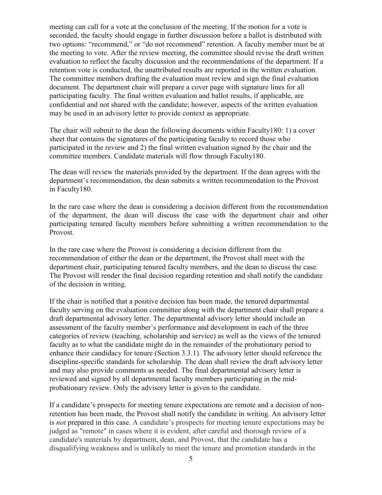meeting can call for a vote at the conclusion of the meeting. If the motion for a vote is seconded, the faculty should engage in further discussion before a ballot is distributed with two options: "recommend," or "do not recommend" retention. A faculty member must be at the meeting to vote. After the review meeting, the committee should revise the draft written evaluation to reflect the faculty discussion and the recommendations of the department. If a retention vote is conducted, the unattributed results are reported in the written evaluation. The committee members drafting the evaluation must review and sign the final evaluation document. The department chair will prepare a cover page with signature lines for all participating faculty. The final written evaluation and ballot results, if applicable, are confidential and not shared with the candidate; however, aspects of the written evaluation may be used in an advisory letter to provide context as appropriate.

The chair will submit to the dean the following documents within Faculty180: 1) a cover sheet that contains the signatures of the participating faculty to record those who participated in the review and 2) the final written evaluation signed by the chair and the committee members. Candidate materials will flow through Faculty180.

The dean will review the materials provided by the department. If the dean agrees with the department's recommendation, the dean submits a written recommendation to the Provost in Faculty180.

In the rare case where the dean is considering a decision different from the recommendation of the department, the dean will discuss the case with the department chair and other participating tenured faculty members before submitting a written recommendation to the Provost.

In the rare case where the Provost is considering a decision different from the recommendation of either the dean or the department, the Provost shall meet with the department chair, participating tenured faculty members, and the dean to discuss the case. The Provost will render the final decision regarding retention and shall notify the candidate of the decision in writing.

If the chair is notified that a positive decision has been made, the tenured departmental faculty serving on the evaluation committee along with the department chair shall prepare a draft departmental advisory letter. The departmental advisory letter should include an assessment of the faculty member's performance and development in each of the three categories of review (teaching, scholarship and service) as well as the views of the tenured faculty as to what the candidate might do in the remainder of the probationary period to enhance their candidacy for tenure (Section 3.3.1). The advisory letter should reference the discipline-specific standards for scholarship. The dean shall review the draft advisory letter and may also provide comments as needed. The final departmental advisory letter is reviewed and signed by all departmental faculty members participating in the midprobationary review. Only the advisory letter is given to the candidate.

If a candidate's prospects for meeting tenure expectations are remote and a decision of nonretention has been made, the Provost shall notify the candidate in writing. An advisory letter is *not* prepared in this case. A candidate's prospects for meeting tenure expectations may be judged as "remote" in cases where it is evident, after careful and thorough review of a candidate's materials by department, dean, and Provost, that the candidate has a disqualifying weakness and is unlikely to meet the tenure and promotion standards in the